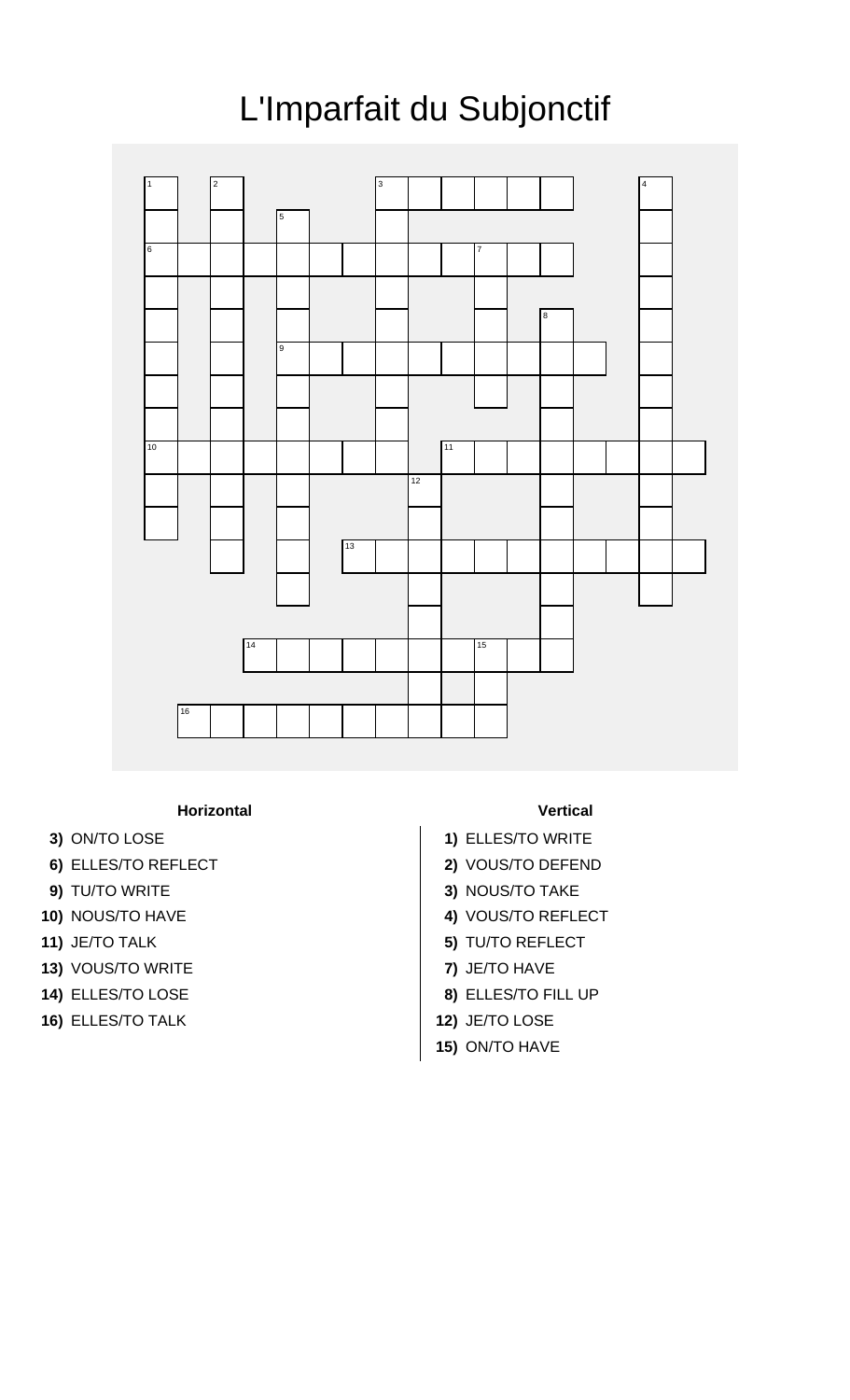

## L'Imparfait du Subjonctif

## **Horizontal Vertical**

- 
- **6)** ELLES/TO REFLECT **2)** VOUS/TO DEFEND
- 
- 
- 
- **13)** VOUS/TO WRITE **7)** JE/TO HAVE
- 
- **16)** ELLES/TO TALK **12)** JE/TO LOSE

- **3)** ON/TO LOSE **1)** ELLES/TO WRITE
	-
- **9)** TU/TO WRITE **3)** NOUS/TO TAKE
- **10)** NOUS/TO HAVE **4)** VOUS/TO REFLECT
- **11)** JE/TO TALK **5)** TU/TO REFLECT
	-
- **14)** ELLES/TO LOSE **8)** ELLES/TO FILL UP
	-
	- **15)** ON/TO HAVE